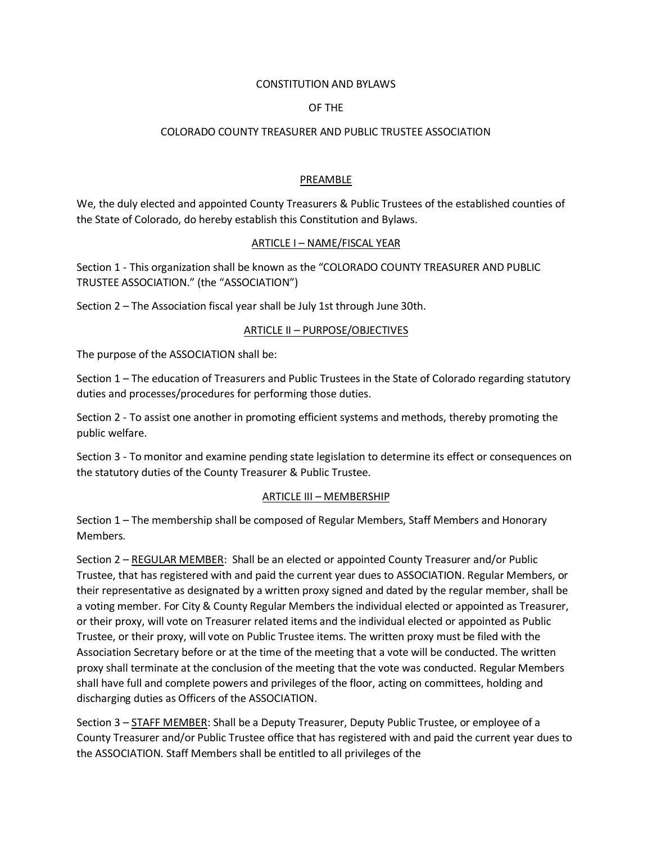#### CONSTITUTION AND BYLAWS

## OF THE

#### COLORADO COUNTY TREASURER AND PUBLIC TRUSTEE ASSOCIATION

## PREAMBLE

We, the duly elected and appointed County Treasurers & Public Trustees of the established counties of the State of Colorado, do hereby establish this Constitution and Bylaws.

#### ARTICLE I – NAME/FISCAL YEAR

Section 1 - This organization shall be known as the "COLORADO COUNTY TREASURER AND PUBLIC TRUSTEE ASSOCIATION." (the "ASSOCIATION")

Section 2 – The Association fiscal year shall be July 1st through June 30th.

## ARTICLE II – PURPOSE/OBJECTIVES

The purpose of the ASSOCIATION shall be:

Section 1 – The education of Treasurers and Public Trustees in the State of Colorado regarding statutory duties and processes/procedures for performing those duties.

Section 2 - To assist one another in promoting efficient systems and methods, thereby promoting the public welfare.

Section 3 - To monitor and examine pending state legislation to determine its effect or consequences on the statutory duties of the County Treasurer & Public Trustee.

## ARTICLE III – MEMBERSHIP

Section 1 – The membership shall be composed of Regular Members, Staff Members and Honorary Members.

Section 2 – REGULAR MEMBER: Shall be an elected or appointed County Treasurer and/or Public Trustee, that has registered with and paid the current year dues to ASSOCIATION. Regular Members, or their representative as designated by a written proxy signed and dated by the regular member, shall be a voting member. For City & County Regular Members the individual elected or appointed as Treasurer, or their proxy, will vote on Treasurer related items and the individual elected or appointed as Public Trustee, or their proxy, will vote on Public Trustee items. The written proxy must be filed with the Association Secretary before or at the time of the meeting that a vote will be conducted. The written proxy shall terminate at the conclusion of the meeting that the vote was conducted. Regular Members shall have full and complete powers and privileges of the floor, acting on committees, holding and discharging duties as Officers of the ASSOCIATION.

Section 3 – STAFF MEMBER: Shall be a Deputy Treasurer, Deputy Public Trustee, or employee of a County Treasurer and/or Public Trustee office that has registered with and paid the current year dues to the ASSOCIATION. Staff Members shall be entitled to all privileges of the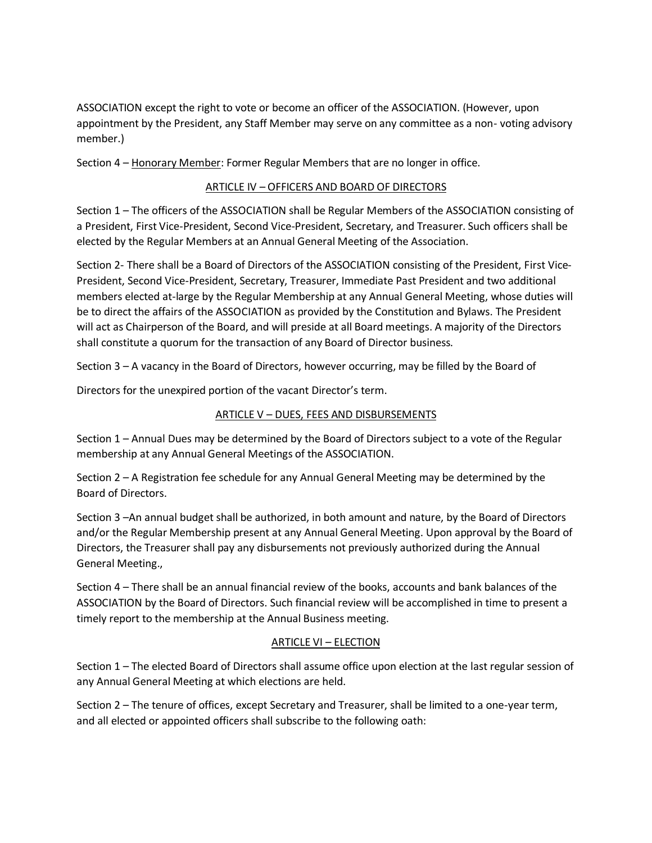ASSOCIATION except the right to vote or become an officer of the ASSOCIATION. (However, upon appointment by the President, any Staff Member may serve on any committee as a non- voting advisory member.)

Section 4 – Honorary Member: Former Regular Members that are no longer in office.

## ARTICLE IV – OFFICERS AND BOARD OF DIRECTORS

Section 1 – The officers of the ASSOCIATION shall be Regular Members of the ASSOCIATION consisting of a President, First Vice-President, Second Vice-President, Secretary, and Treasurer. Such officers shall be elected by the Regular Members at an Annual General Meeting of the Association.

Section 2- There shall be a Board of Directors of the ASSOCIATION consisting of the President, First Vice-President, Second Vice-President, Secretary, Treasurer, Immediate Past President and two additional members elected at-large by the Regular Membership at any Annual General Meeting, whose duties will be to direct the affairs of the ASSOCIATION as provided by the Constitution and Bylaws. The President will act as Chairperson of the Board, and will preside at all Board meetings. A majority of the Directors shall constitute a quorum for the transaction of any Board of Director business.

Section 3 – A vacancy in the Board of Directors, however occurring, may be filled by the Board of

Directors for the unexpired portion of the vacant Director's term.

## ARTICLE V – DUES, FEES AND DISBURSEMENTS

Section 1 – Annual Dues may be determined by the Board of Directors subject to a vote of the Regular membership at any Annual General Meetings of the ASSOCIATION.

Section 2 – A Registration fee schedule for any Annual General Meeting may be determined by the Board of Directors.

Section 3 –An annual budget shall be authorized, in both amount and nature, by the Board of Directors and/or the Regular Membership present at any Annual General Meeting. Upon approval by the Board of Directors, the Treasurer shall pay any disbursements not previously authorized during the Annual General Meeting.,

Section 4 – There shall be an annual financial review of the books, accounts and bank balances of the ASSOCIATION by the Board of Directors. Such financial review will be accomplished in time to present a timely report to the membership at the Annual Business meeting.

## ARTICLE VI – ELECTION

Section 1 – The elected Board of Directors shall assume office upon election at the last regular session of any Annual General Meeting at which elections are held.

Section 2 – The tenure of offices, except Secretary and Treasurer, shall be limited to a one-year term, and all elected or appointed officers shall subscribe to the following oath: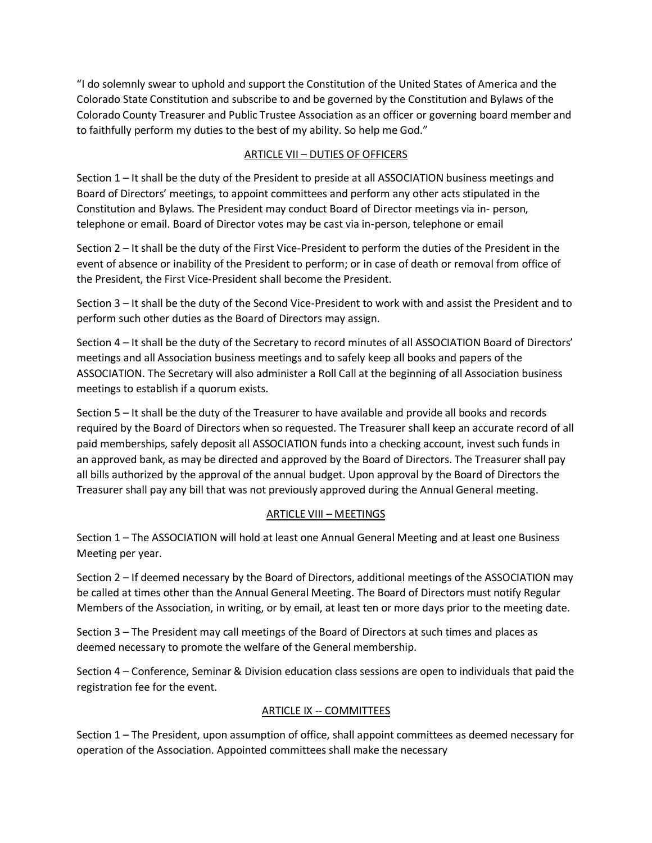"I do solemnly swear to uphold and support the Constitution of the United States of America and the Colorado State Constitution and subscribe to and be governed by the Constitution and Bylaws of the Colorado County Treasurer and Public Trustee Association as an officer or governing board member and to faithfully perform my duties to the best of my ability. So help me God."

# ARTICLE VII – DUTIES OF OFFICERS

Section 1 – It shall be the duty of the President to preside at all ASSOCIATION business meetings and Board of Directors' meetings, to appoint committees and perform any other acts stipulated in the Constitution and Bylaws. The President may conduct Board of Director meetings via in- person, telephone or email. Board of Director votes may be cast via in-person, telephone or email

Section 2 – It shall be the duty of the First Vice-President to perform the duties of the President in the event of absence or inability of the President to perform; or in case of death or removal from office of the President, the First Vice-President shall become the President.

Section 3 – It shall be the duty of the Second Vice-President to work with and assist the President and to perform such other duties as the Board of Directors may assign.

Section 4 – It shall be the duty of the Secretary to record minutes of all ASSOCIATION Board of Directors' meetings and all Association business meetings and to safely keep all books and papers of the ASSOCIATION. The Secretary will also administer a Roll Call at the beginning of all Association business meetings to establish if a quorum exists.

Section 5 – It shall be the duty of the Treasurer to have available and provide all books and records required by the Board of Directors when so requested. The Treasurer shall keep an accurate record of all paid memberships, safely deposit all ASSOCIATION funds into a checking account, invest such funds in an approved bank, as may be directed and approved by the Board of Directors. The Treasurer shall pay all bills authorized by the approval of the annual budget. Upon approval by the Board of Directors the Treasurer shall pay any bill that was not previously approved during the Annual General meeting.

# ARTICLE VIII – MEETINGS

Section 1 – The ASSOCIATION will hold at least one Annual General Meeting and at least one Business Meeting per year.

Section 2 – If deemed necessary by the Board of Directors, additional meetings of the ASSOCIATION may be called at times other than the Annual General Meeting. The Board of Directors must notify Regular Members of the Association, in writing, or by email, at least ten or more days prior to the meeting date.

Section 3 – The President may call meetings of the Board of Directors at such times and places as deemed necessary to promote the welfare of the General membership.

Section 4 – Conference, Seminar & Division education class sessions are open to individuals that paid the registration fee for the event.

# ARTICLE IX -- COMMITTEES

Section 1 – The President, upon assumption of office, shall appoint committees as deemed necessary for operation of the Association. Appointed committees shall make the necessary